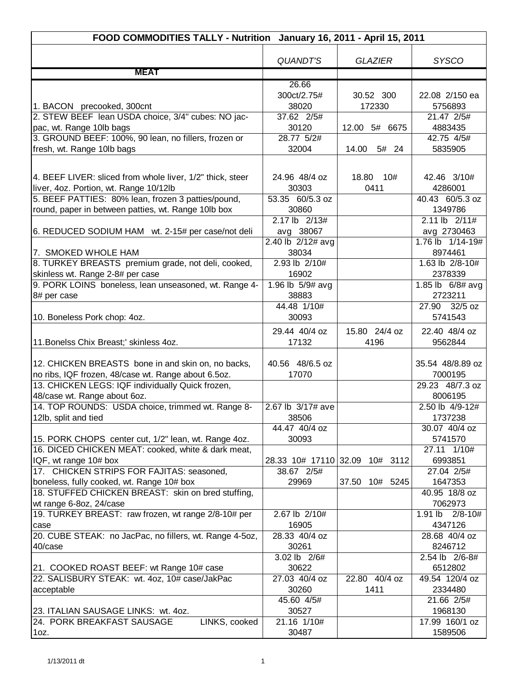|                                                                           | FOOD COMMODITIES TALLY - Nutrition January 16, 2011 - April 15, 2011 |                                |                            |
|---------------------------------------------------------------------------|----------------------------------------------------------------------|--------------------------------|----------------------------|
|                                                                           |                                                                      |                                |                            |
|                                                                           | <b>QUANDT'S</b>                                                      | <b>GLAZIER</b>                 | <b>SYSCO</b>               |
| <b>MEAT</b>                                                               |                                                                      |                                |                            |
|                                                                           | 26.66                                                                |                                |                            |
|                                                                           | 300ct/2.75#                                                          | 30.52 300                      | 22.08 2/150 ea             |
| 1. BACON precooked, 300cnt                                                | 38020                                                                | 172330                         | 5756893                    |
| 2. STEW BEEF lean USDA choice, 3/4" cubes: NO jac-                        | 37.62 2/5#                                                           |                                | 21.47 2/5#                 |
| pac, wt. Range 10lb bags                                                  | 30120                                                                | 12.00 5# 6675                  | 4883435                    |
| 3. GROUND BEEF: 100%, 90 lean, no fillers, frozen or                      | 28.77 5/2#                                                           |                                | 42.75 4/5#                 |
| fresh, wt. Range 10lb bags                                                | 32004                                                                | 14.00<br>5# 24                 | 5835905                    |
|                                                                           |                                                                      |                                |                            |
| 4. BEEF LIVER: sliced from whole liver, 1/2" thick, steer                 | 24.96 48/4 oz                                                        | 18.80<br>10#                   | 42.46 3/10#                |
| liver, 4oz. Portion, wt. Range 10/12lb                                    | 30303                                                                | 0411                           | 4286001                    |
| 5. BEEF PATTIES: 80% lean, frozen 3 patties/pound,                        | 53.35 60/5.3 oz                                                      |                                | 40.43 60/5.3 oz            |
| round, paper in between patties, wt. Range 10lb box                       | 30860                                                                |                                | 1349786                    |
|                                                                           | $2.17$ lb $2/13#$                                                    |                                | 2.11 lb 2/11#              |
| 6. REDUCED SODIUM HAM wt. 2-15# per case/not deli                         | avg 38067                                                            |                                | avg 2730463                |
|                                                                           | $2.40$ lb $2/12#$ avg                                                |                                | 1.76 lb 1/14-19#           |
| 7. SMOKED WHOLE HAM                                                       | 38034                                                                |                                | 8974461                    |
| 8. TURKEY BREASTS premium grade, not deli, cooked,                        | 2.93 lb 2/10#                                                        |                                | 1.63 lb 2/8-10#            |
| skinless wt. Range 2-8# per case                                          | 16902                                                                |                                | 2378339                    |
| 9. PORK LOINS boneless, lean unseasoned, wt. Range 4-                     | 1.96 lb 5/9# avg                                                     |                                | 1.85 lb 6/8# avg           |
| 8# per case                                                               | 38883                                                                |                                | 2723211                    |
|                                                                           | 44.48 1/10#                                                          |                                | 32/5 oz<br>27.90           |
| 10. Boneless Pork chop: 4oz.                                              | 30093                                                                |                                | 5741543                    |
|                                                                           |                                                                      |                                |                            |
|                                                                           | 29.44 40/4 oz                                                        | 15.80 24/4 oz                  | 22.40 48/4 oz              |
| 11. Bonelss Chix Breast;' skinless 4oz.                                   | 17132                                                                | 4196                           | 9562844                    |
|                                                                           |                                                                      |                                |                            |
| 12. CHICKEN BREASTS bone in and skin on, no backs,                        | 40.56 48/6.5 oz                                                      |                                | 35.54 48/8.89 oz           |
| no ribs, IQF frozen, 48/case wt. Range about 6.5oz.                       | 17070                                                                |                                | 7000195                    |
| 13. CHICKEN LEGS: IQF individually Quick frozen,                          |                                                                      |                                | 29.23 48/7.3 oz            |
| 48/case wt. Range about 6oz.                                              | 2.67 lb 3/17# ave                                                    |                                | 8006195<br>2.50 lb 4/9-12# |
| 14. TOP ROUNDS: USDA choice, trimmed wt. Range 8-<br>12lb, split and tied | 38506                                                                |                                | 1737238                    |
|                                                                           | 44.47 40/4 oz                                                        |                                | 30.07 40/4 oz              |
| 15. PORK CHOPS center cut, 1/2" lean, wt. Range 4oz.                      | 30093                                                                |                                | 5741570                    |
| 16. DICED CHICKEN MEAT: cooked, white & dark meat,                        |                                                                      |                                | 27.11 1/10#                |
| IQF, wt range 10# box                                                     |                                                                      | 28.33 10# 17110 32.09 10# 3112 | 6993851                    |
| 17. CHICKEN STRIPS FOR FAJITAS: seasoned,                                 | 38.67 2/5#                                                           |                                | 27.04 2/5#                 |
| boneless, fully cooked, wt. Range 10# box                                 | 29969                                                                | 37.50 10# 5245                 | 1647353                    |
| 18. STUFFED CHICKEN BREAST: skin on bred stuffing,                        |                                                                      |                                | 40.95 18/8 oz              |
| wt range 6-8oz, 24/case                                                   |                                                                      |                                | 7062973                    |
| 19. TURKEY BREAST: raw frozen, wt range 2/8-10# per                       | 2.67 lb 2/10#                                                        |                                | 1.91 lb<br>$2/8 - 10#$     |
| case                                                                      | 16905                                                                |                                | 4347126                    |
| 20. CUBE STEAK: no JacPac, no fillers, wt. Range 4-5oz,                   | 28.33 40/4 oz                                                        |                                | 28.68 40/4 oz              |
| 40/case                                                                   | 30261                                                                |                                | 8246712                    |
|                                                                           | 3.02 lb 2/6#                                                         |                                | 2.54 lb 2/6-8#             |
| 21. COOKED ROAST BEEF: wt Range 10# case                                  | 30622                                                                |                                | 6512802                    |
| 22. SALISBURY STEAK: wt. 4oz, 10# case/JakPac                             | 27.03 40/4 oz                                                        | 22.80 40/4 oz                  | 49.54 120/4 oz             |
| acceptable                                                                | 30260                                                                | 1411                           | 2334480                    |
|                                                                           | 45.60 4/5#                                                           |                                | 21.66 2/5#                 |
| 23. ITALIAN SAUSAGE LINKS: wt. 4oz.                                       | 30527                                                                |                                | 1968130                    |
| 24. PORK BREAKFAST SAUSAGE<br>LINKS, cooked                               | 21.16 1/10#                                                          |                                | 17.99 160/1 oz             |
| $1oz$ .                                                                   | 30487                                                                |                                | 1589506                    |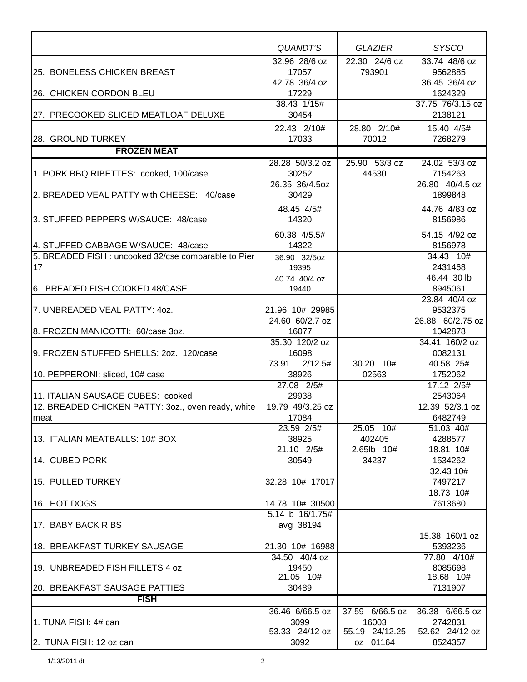|                                                      | QUANDT'S                            | <b>GLAZIER</b>  | <b>SYSCO</b>             |
|------------------------------------------------------|-------------------------------------|-----------------|--------------------------|
|                                                      | 32.96 28/6 oz                       | 22.30 24/6 oz   | 33.74 48/6 oz            |
| 25. BONELESS CHICKEN BREAST                          | 17057                               | 793901          | 9562885                  |
|                                                      | 42.78 36/4 oz                       |                 | 36.45 36/4 oz            |
| 26. CHICKEN CORDON BLEU                              | 17229                               |                 | 1624329                  |
|                                                      | 38.43 1/15#                         |                 | 37.75 76/3.15 oz         |
| 27. PRECOOKED SLICED MEATLOAF DELUXE                 | 30454                               |                 | 2138121                  |
|                                                      | 22.43 2/10#                         | 28.80 2/10#     | 15.40 4/5#               |
| 28. GROUND TURKEY                                    | 17033                               | 70012           | 7268279                  |
| <b>FROZEN MEAT</b>                                   |                                     |                 |                          |
|                                                      | 28.28 50/3.2 oz                     | 25.90 53/3 oz   | 24.02 53/3 oz            |
| 1. PORK BBQ RIBETTES: cooked, 100/case               | 30252                               | 44530           | 7154263                  |
|                                                      | 26.35 36/4.5oz                      |                 | 26.80 40/4.5 oz          |
| 2. BREADED VEAL PATTY with CHEESE: 40/case           | 30429                               |                 | 1899848                  |
|                                                      | 48.45 4/5#                          |                 | 44.76 4/83 oz            |
| 3. STUFFED PEPPERS W/SAUCE: 48/case                  | 14320                               |                 | 8156986                  |
|                                                      |                                     |                 |                          |
|                                                      | 60.38 4/5.5#                        |                 | 54.15 4/92 oz            |
| 4. STUFFED CABBAGE W/SAUCE: 48/case                  | 14322                               |                 | 8156978                  |
| 5. BREADED FISH : uncooked 32/cse comparable to Pier | 36.90 32/5oz                        |                 | $34.43$ 10#              |
| 17                                                   | 19395                               |                 | 2431468                  |
|                                                      | 40.74 40/4 oz                       |                 | 46.44 30 lb              |
| 6. BREADED FISH COOKED 48/CASE                       | 19440                               |                 | 8945061<br>23.84 40/4 oz |
| 7. UNBREADED VEAL PATTY: 40Z.                        | 21.96 10# 29985                     |                 | 9532375                  |
|                                                      | 24.60 60/2.7 oz                     |                 | 26.88 60/2.75 oz         |
| 8. FROZEN MANICOTTI: 60/case 3oz.                    | 16077                               |                 | 1042878                  |
|                                                      | 35.30 120/2 oz                      |                 | 34.41 160/2 oz           |
| 9. FROZEN STUFFED SHELLS: 20z., 120/case             | 16098                               |                 | 0082131                  |
|                                                      | 73.91<br>2/12.5#                    | 30.20 10#       | 40.58 25#                |
| 10. PEPPERONI: sliced, 10# case                      | 38926                               | 02563           | 1752062                  |
|                                                      | 27.08 2/5#                          |                 | 17.12 2/5#               |
| 11. ITALIAN SAUSAGE CUBES: cooked                    | 29938                               |                 | 2543064                  |
| 12. BREADED CHICKEN PATTY: 3oz., oven ready, white   | 19.79 49/3.25 oz                    |                 | 12.39 52/3.1 oz          |
| meat                                                 | 17084                               |                 | 6482749                  |
|                                                      | 23.59 2/5#                          | 25.05 10#       | 51.03 40#                |
| 13. ITALIAN MEATBALLS: 10# BOX                       | 38925                               | 402405          | 4288577                  |
|                                                      | 21.10 2/5#                          | 2.65lb 10#      | 18.81 10#                |
| 14. CUBED PORK                                       | 30549                               | 34237           | 1534262                  |
|                                                      |                                     |                 | 32.43 10#                |
| 15. PULLED TURKEY                                    | 32.28 10# 17017                     |                 | 7497217                  |
| 16. HOT DOGS                                         |                                     |                 | 18.73 10#<br>7613680     |
|                                                      | 14.78 10# 30500<br>5.14 lb 16/1.75# |                 |                          |
| 17. BABY BACK RIBS                                   | avg 38194                           |                 |                          |
|                                                      |                                     |                 | 15.38 160/1 oz           |
| 18. BREAKFAST TURKEY SAUSAGE                         | 21.30 10# 16988                     |                 | 5393236                  |
|                                                      | 34.50 40/4 oz                       |                 | 77.80 4/10#              |
| 19. UNBREADED FISH FILLETS 4 oz                      | 19450                               |                 | 8085698                  |
|                                                      | 21.05 10#                           |                 | 18.68 10#                |
| 20. BREAKFAST SAUSAGE PATTIES                        | 30489                               |                 | 7131907                  |
| <b>FISH</b>                                          |                                     |                 |                          |
|                                                      | 36.46 6/66.5 oz                     | 37.59 6/66.5 oz | 36.38 6/66.5 oz          |
| 1. TUNA FISH: 4# can                                 | 3099                                | 16003           | 2742831                  |
|                                                      | 53.33 24/12 oz                      | 55.19 24/12.25  | 52.62 24/12 oz           |
| 2. TUNA FISH: 12 oz can                              | 3092                                | oz 01164        | 8524357                  |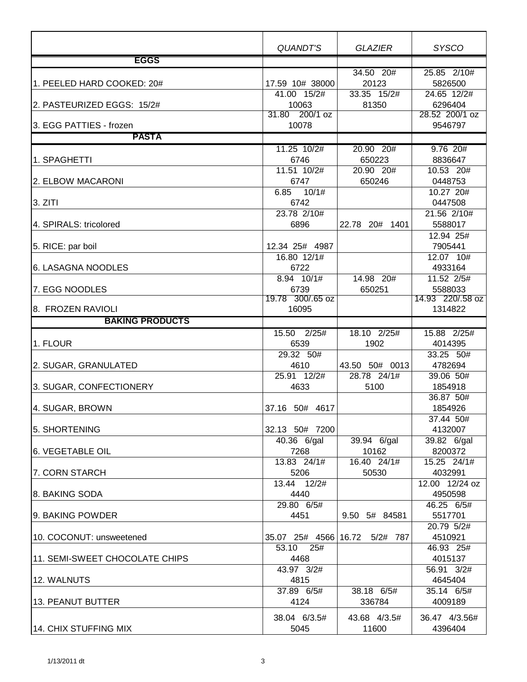|                                | <b>QUANDT'S</b>          | <b>GLAZIER</b>                | <b>SYSCO</b>     |
|--------------------------------|--------------------------|-------------------------------|------------------|
| <b>EGGS</b>                    |                          |                               |                  |
|                                |                          | 34.50 20#                     | 25.85 2/10#      |
| 1. PEELED HARD COOKED: 20#     | 17.59 10# 38000          | 20123                         | 5826500          |
|                                | 41.00 15/2#              | 33.35 15/2#                   | 24.65 12/2#      |
| 2. PASTEURIZED EGGS: 15/2#     | 10063                    | 81350                         | 6296404          |
|                                | 31.80 200/1 oz           |                               | 28.52 200/1 oz   |
| 3. EGG PATTIES - frozen        | 10078                    |                               | 9546797          |
| <b>PASTA</b>                   |                          |                               |                  |
|                                | 11.25 10/2#              | 20.90 20#                     | $9.76$ 20#       |
| 1. SPAGHETTI                   | 6746                     | 650223                        | 8836647          |
|                                | 11.51 10/2#              | 20.90 20#                     | 10.53 20#        |
| 2. ELBOW MACARONI              | 6747                     | 650246                        | 0448753          |
|                                | 10/1#<br>6.85            |                               | 10.27 20#        |
| 3. ZITI                        | 6742                     |                               | 0447508          |
|                                | 23.78 2/10#              |                               | $21.56$ $2/10#$  |
| 4. SPIRALS: tricolored         | 6896                     | 22.78 20# 1401                | 5588017          |
|                                |                          |                               | 12.94 25#        |
| 5. RICE: par boil              | 12.34 25# 4987           |                               | 7905441          |
|                                | 16.80 12/1#              |                               | 12.07 10#        |
| 6. LASAGNA NOODLES             | 6722                     |                               | 4933164          |
|                                | $8.94$ 10/1#             | 14.98 20#                     | 11.52 2/5#       |
| 7. EGG NOODLES                 | 6739                     | 650251                        | 5588033          |
|                                | 19.78 300/.65 oz         |                               | 14.93 220/.58 oz |
| 8. FROZEN RAVIOLI              | 16095                    |                               | 1314822          |
| <b>BAKING PRODUCTS</b>         |                          |                               |                  |
|                                | 15.50 2/25#              | 18.10 2/25#                   | 15.88 2/25#      |
| 1. FLOUR                       | 6539                     | 1902                          | 4014395          |
|                                | 29.32 50#                |                               | 33.25 50#        |
| 2. SUGAR, GRANULATED           | 4610                     | 43.50 50# 0013                | 4782694          |
|                                | 25.91 12/2#              | 28.78 24/1#                   | 39.06 50#        |
| 3. SUGAR, CONFECTIONERY        | 4633                     | 5100                          | 1854918          |
|                                |                          |                               | 36.87 50#        |
| 4. SUGAR, BROWN                | 37.16 50# 4617           |                               | 1854926          |
|                                |                          |                               | $37.44$ 50#      |
| 5. SHORTENING                  | 32.13 50# 7200           |                               | 4132007          |
|                                | $\overline{40.36}$ 6/gal | 39.94 6/gal                   | 39.82 6/gal      |
| 6. VEGETABLE OIL               | 7268                     | 10162                         | 8200372          |
|                                | 13.83 24/1#              | 16.40 24/1#                   | 15.25 24/1#      |
| 7. CORN STARCH                 | 5206                     | 50530                         | 4032991          |
|                                | 13.44 12/2#              |                               | 12.00 12/24 oz   |
| 8. BAKING SODA                 | 4440                     |                               | 4950598          |
|                                | 29.80 6/5#               |                               | 46.25 6/5#       |
| 9. BAKING POWDER               | 4451                     | 9.50 5# 84581                 | 5517701          |
|                                |                          |                               | 20.79 5/2#       |
| 10. COCONUT: unsweetened       |                          | 35.07 25# 4566 16.72 5/2# 787 | 4510921          |
|                                | 53.10<br>25#             |                               | 46.93 25#        |
| 11. SEMI-SWEET CHOCOLATE CHIPS | 4468                     |                               | 4015137          |
|                                | 43.97 3/2#               |                               | 56.91 3/2#       |
| 12. WALNUTS                    | 4815                     |                               | 4645404          |
|                                | 37.89 6/5#               | 38.18 6/5#                    | 35.14 6/5#       |
| 13. PEANUT BUTTER              | 4124                     | 336784                        | 4009189          |
|                                | 38.04 6/3.5#             | 43.68 4/3.5#                  | 36.47 4/3.56#    |
| 14. CHIX STUFFING MIX          | 5045                     | 11600                         | 4396404          |
|                                |                          |                               |                  |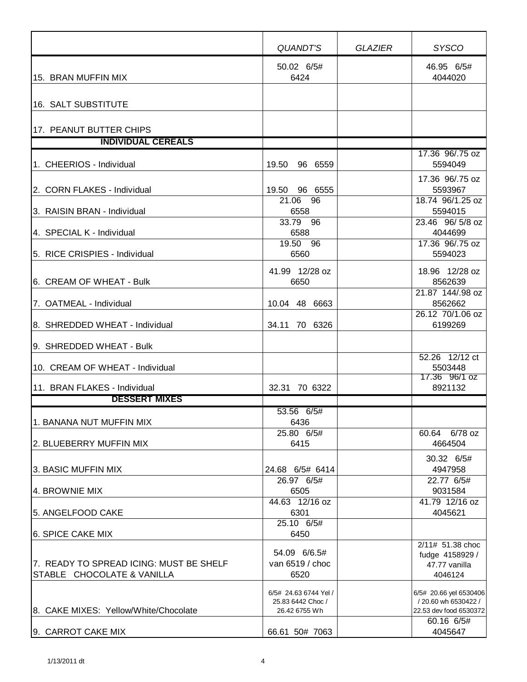|                                                                       | <b>QUANDT'S</b>                                             | GLAZIER | <b>SYSCO</b>                                                             |
|-----------------------------------------------------------------------|-------------------------------------------------------------|---------|--------------------------------------------------------------------------|
| 15. BRAN MUFFIN MIX                                                   | 50.02 6/5#<br>6424                                          |         | 46.95 6/5#<br>4044020                                                    |
| 16. SALT SUBSTITUTE                                                   |                                                             |         |                                                                          |
| 17. PEANUT BUTTER CHIPS                                               |                                                             |         |                                                                          |
| <b>INDIVIDUAL CEREALS</b>                                             |                                                             |         |                                                                          |
| 1. CHEERIOS - Individual                                              | 19.50<br>96 6559                                            |         | 17.36 96/.75 oz<br>5594049                                               |
| 2. CORN FLAKES - Individual                                           | 19.50<br>96 6555<br>21.06 96                                |         | 17.36 96/.75 oz<br>5593967<br>18.74 96/1.25 oz                           |
| 3. RAISIN BRAN - Individual                                           | 6558                                                        |         | 5594015                                                                  |
| 4. SPECIAL K - Individual                                             | 33.79 96<br>6588                                            |         | 23.46 96/5/8 oz<br>4044699                                               |
| 5. RICE CRISPIES - Individual                                         | 19.50 96<br>6560                                            |         | 17.36 96/.75 oz<br>5594023                                               |
| 6. CREAM OF WHEAT - Bulk                                              | 41.99 12/28 oz<br>6650                                      |         | 18.96 12/28 oz<br>8562639                                                |
| 7. OATMEAL - Individual                                               | 10.04 48 6663                                               |         | 21.87 144/.98 oz<br>8562662                                              |
| 8. SHREDDED WHEAT - Individual                                        | 34.11 70 6326                                               |         | 26.12 70/1.06 oz<br>6199269                                              |
| 9. SHREDDED WHEAT - Bulk                                              |                                                             |         |                                                                          |
| 10. CREAM OF WHEAT - Individual                                       |                                                             |         | 52.26 12/12 ct<br>5503448                                                |
| 11. BRAN FLAKES - Individual                                          | 32.31 70 6322                                               |         | 17.36 96/1 oz<br>8921132                                                 |
| <b>DESSERT MIXES</b>                                                  |                                                             |         |                                                                          |
| 1. BANANA NUT MUFFIN MIX                                              | 53.56 6/5#<br>6436<br>25.80 6/5#                            |         | 60.64 6/78 oz                                                            |
| 2. BLUEBERRY MUFFIN MIX                                               | 6415                                                        |         | 4664504                                                                  |
| 3. BASIC MUFFIN MIX                                                   | 24.68 6/5# 6414                                             |         | 30.32 6/5#<br>4947958                                                    |
| 4. BROWNIE MIX                                                        | 26.97 6/5#<br>6505                                          |         | 22.77 6/5#<br>9031584                                                    |
| 5. ANGELFOOD CAKE                                                     | 44.63 12/16 oz<br>6301                                      |         | 41.79 12/16 oz<br>4045621                                                |
| <b>6. SPICE CAKE MIX</b>                                              | 25.10 6/5#<br>6450                                          |         |                                                                          |
| 7. READY TO SPREAD ICING: MUST BE SHELF<br>STABLE CHOCOLATE & VANILLA | 54.09 6/6.5#<br>van 6519 / choc<br>6520                     |         | 2/11# 51.38 choc<br>fudge 4158929 /<br>47.77 vanilla<br>4046124          |
| 8. CAKE MIXES: Yellow/White/Chocolate                                 | 6/5# 24.63 6744 Yel /<br>25.83 6442 Choc /<br>26.42 6755 Wh |         | 6/5# 20.66 yel 6530406<br>/ 20.60 wh 6530422 /<br>22.53 dev food 6530372 |
| 9. CARROT CAKE MIX                                                    | 66.61 50# 7063                                              |         | 60.16 6/5#<br>4045647                                                    |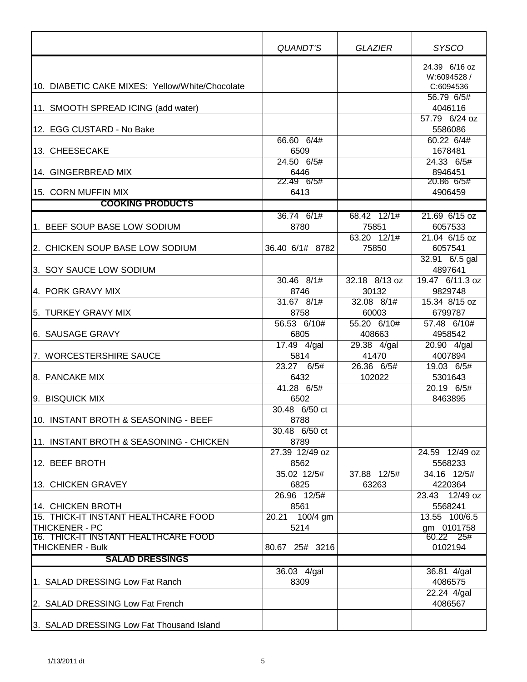|                                                                                        | QUANDT'S                              | <b>GLAZIER</b>                     | <b>SYSCO</b>                                                       |
|----------------------------------------------------------------------------------------|---------------------------------------|------------------------------------|--------------------------------------------------------------------|
| 10. DIABETIC CAKE MIXES: Yellow/White/Chocolate<br>11. SMOOTH SPREAD ICING (add water) |                                       |                                    | 24.39 6/16 oz<br>W:6094528 /<br>C:6094536<br>56.79 6/5#<br>4046116 |
| 12. EGG CUSTARD - No Bake                                                              |                                       |                                    | 57.79 6/24 oz<br>5586086                                           |
| 13. CHEESECAKE                                                                         | 66.60 6/4#<br>6509                    |                                    | 60.22 6/4#<br>1678481                                              |
| 14. GINGERBREAD MIX                                                                    | 24.50 6/5#<br>6446                    |                                    | 24.33 6/5#<br>8946451                                              |
| 15. CORN MUFFIN MIX                                                                    | 22.49 6/5#<br>6413                    |                                    | 20.86 6/5#<br>4906459                                              |
| <b>COOKING PRODUCTS</b>                                                                |                                       |                                    |                                                                    |
| 1. BEEF SOUP BASE LOW SODIUM                                                           | 36.74 6/1#<br>8780                    | 68.42 12/1#<br>75851               | 21.69 6/15 oz<br>6057533                                           |
| 2. CHICKEN SOUP BASE LOW SODIUM                                                        | 36.40 6/1# 8782                       | 63.20 12/1#<br>75850               | 21.04 6/15 oz<br>6057541                                           |
| 3. SOY SAUCE LOW SODIUM                                                                |                                       |                                    | 32.91 6/.5 gal<br>4897641                                          |
| 4. PORK GRAVY MIX                                                                      | 30.46 8/1#<br>8746                    | 32.18 8/13 oz<br>30132             | 19.47 6/11.3 oz<br>9829748                                         |
| 5. TURKEY GRAVY MIX                                                                    | 31.67 8/1#<br>8758<br>56.53 6/10#     | 32.08 8/1#<br>60003<br>55.20 6/10# | 15.34 8/15 oz<br>6799787<br>57.48 6/10#                            |
| 6. SAUSAGE GRAVY                                                                       | 6805                                  | 408663                             | 4958542                                                            |
| 7. WORCESTERSHIRE SAUCE                                                                | 17.49 4/gal<br>5814                   | 29.38 4/gal<br>41470               | 20.90 4/gal<br>4007894                                             |
| 8. PANCAKE MIX                                                                         | 23.27 6/5#<br>6432                    | 26.36 6/5#<br>102022               | 19.03 6/5#<br>5301643                                              |
| 9. BISQUICK MIX                                                                        | 41.28 6/5#<br>6502                    |                                    | 20.19 6/5#<br>8463895                                              |
| 10. INSTANT BROTH & SEASONING - BEEF                                                   | 30.48 6/50 ct<br>8788                 |                                    |                                                                    |
| 11. INSTANT BROTH & SEASONING - CHICKEN                                                | 30.48 6/50 ct<br>8789                 |                                    |                                                                    |
| 12. BEEF BROTH                                                                         | 27.39 12/49 oz<br>8562<br>35.02 12/5# | 37.88 12/5#                        | $\overline{24.59}$ 12/49 oz<br>5568233<br>34.16 12/5#              |
| 13. CHICKEN GRAVEY                                                                     | 6825                                  | 63263                              | 4220364                                                            |
| 14. CHICKEN BROTH                                                                      | 26.96 12/5#<br>8561                   |                                    | 23.43 12/49 oz<br>5568241                                          |
| 15. THICK-IT INSTANT HEALTHCARE FOOD                                                   | 20.21 100/4 gm                        |                                    | 13.55 100/6.5                                                      |
| THICKENER - PC<br>16. THICK-IT INSTANT HEALTHCARE FOOD                                 | 5214                                  |                                    | gm 0101758<br>60.22 25#                                            |
| <b>THICKENER - Bulk</b>                                                                | 80.67 25# 3216                        |                                    | 0102194                                                            |
| <b>SALAD DRESSINGS</b>                                                                 |                                       |                                    |                                                                    |
|                                                                                        | 36.03 4/gal                           |                                    | 36.81 4/gal                                                        |
| 1. SALAD DRESSING Low Fat Ranch                                                        | 8309                                  |                                    | 4086575<br>22.24 4/gal                                             |
| 2. SALAD DRESSING Low Fat French                                                       |                                       |                                    | 4086567                                                            |
| 3. SALAD DRESSING Low Fat Thousand Island                                              |                                       |                                    |                                                                    |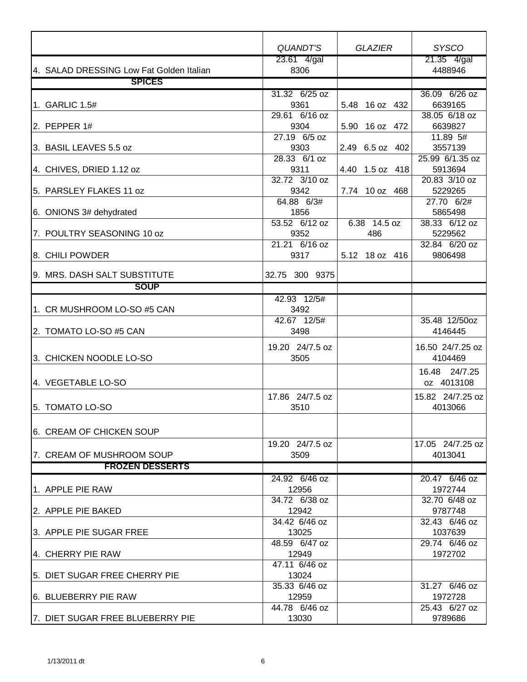|                                                     | <b>QUANDT'S</b>        | <b>GLAZIER</b>  | <b>SYSCO</b>               |
|-----------------------------------------------------|------------------------|-----------------|----------------------------|
|                                                     | $23.61$ 4/gal          |                 | 21.35 4/gal                |
| 4. SALAD DRESSING Low Fat Golden Italian            | 8306                   |                 | 4488946                    |
| <b>SPICES</b>                                       |                        |                 |                            |
|                                                     | 31.32 6/25 oz          |                 | 36.09 6/26 oz              |
| 1. GARLIC 1.5#                                      | 9361                   | 5.48 16 oz 432  | 6639165                    |
|                                                     | 29.61 6/16 oz          |                 | 38.05 6/18 oz              |
| 2. PEPPER 1#                                        | 9304                   | 5.90 16 oz 472  | 6639827                    |
|                                                     | 27.19 6/5 oz           |                 | $11.89$ 5#                 |
| 3. BASIL LEAVES 5.5 oz                              | 9303<br>28.33 6/1 oz   | 2.49 6.5 oz 402 | 3557139<br>25.99 6/1.35 oz |
| 4. CHIVES, DRIED 1.12 oz                            | 9311                   | 4.40 1.5 oz 418 | 5913694                    |
|                                                     | 32.72 3/10 oz          |                 | 20.83 3/10 oz              |
| 5. PARSLEY FLAKES 11 oz                             | 9342                   | 7.74 10 oz 468  | 5229265                    |
|                                                     | 64.88 6/3#             |                 | 27.70 6/2#                 |
| 6. ONIONS 3# dehydrated                             | 1856                   |                 | 5865498                    |
|                                                     | $53.52$ 6/12 oz        | 6.38 14.5 oz    | 38.33 6/12 oz              |
| 7. POULTRY SEASONING 10 oz                          | 9352                   | 486             | 5229562                    |
|                                                     | 21.21 6/16 oz          |                 | 32.84 6/20 oz              |
| 8. CHILI POWDER                                     | 9317                   | 5.12 18 oz 416  | 9806498                    |
|                                                     |                        |                 |                            |
| 9. MRS. DASH SALT SUBSTITUTE                        | 32.75 300 9375         |                 |                            |
| <b>SOUP</b>                                         |                        |                 |                            |
|                                                     | 42.93 12/5#            |                 |                            |
| 1. CR MUSHROOM LO-SO #5 CAN                         | 3492                   |                 |                            |
|                                                     | 42.67 12/5#            |                 | 35.48 12/50oz              |
| 2. TOMATO LO-SO #5 CAN                              | 3498                   |                 | 4146445                    |
|                                                     | 19.20 24/7.5 oz        |                 | 16.50 24/7.25 oz           |
| 3. CHICKEN NOODLE LO-SO                             | 3505                   |                 | 4104469                    |
|                                                     |                        |                 | 16.48 24/7.25              |
| 4. VEGETABLE LO-SO                                  |                        |                 | oz 4013108                 |
|                                                     | 17.86 24/7.5 oz        |                 | 15.82 24/7.25 oz           |
| 5. TOMATO LO-SO                                     | 3510                   |                 | 4013066                    |
|                                                     |                        |                 |                            |
|                                                     |                        |                 |                            |
| I6.  CREAM OF CHICKEN SOUP                          |                        |                 |                            |
|                                                     | 19.20 24/7.5 oz        |                 | 17.05 24/7.25 oz           |
| 7. CREAM OF MUSHROOM SOUP<br><b>FROZEN DESSERTS</b> | 3509                   |                 | 4013041                    |
|                                                     |                        |                 |                            |
| 1. APPLE PIE RAW                                    | 24.92 6/46 oz          |                 | 20.47 6/46 oz              |
|                                                     | 12956<br>34.72 6/38 oz |                 | 1972744<br>32.70 6/48 oz   |
| 2. APPLE PIE BAKED                                  | 12942                  |                 | 9787748                    |
|                                                     | 34.42 6/46 oz          |                 | 32.43 6/46 oz              |
| 3. APPLE PIE SUGAR FREE                             | 13025                  |                 | 1037639                    |
|                                                     | 48.59 6/47 oz          |                 | 29.74 6/46 oz              |
| 4. CHERRY PIE RAW                                   | 12949                  |                 | 1972702                    |
|                                                     | 47.11 6/46 oz          |                 |                            |
| 5. DIET SUGAR FREE CHERRY PIE                       | 13024                  |                 |                            |
|                                                     | 35.33 6/46 oz          |                 | 31.27 6/46 oz              |
| 6. BLUEBERRY PIE RAW                                | 12959                  |                 | 1972728                    |
|                                                     | 44.78 6/46 oz          |                 | 25.43 6/27 oz              |
| 7. DIET SUGAR FREE BLUEBERRY PIE                    | 13030                  |                 | 9789686                    |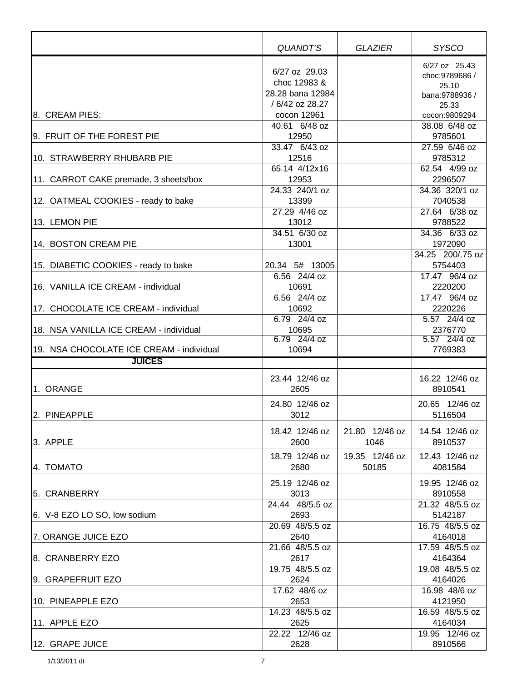|                                          | QUANDT'S         | <b>GLAZIER</b> | <b>SYSCO</b>             |
|------------------------------------------|------------------|----------------|--------------------------|
|                                          |                  |                |                          |
|                                          | 6/27 oz 29.03    |                | 6/27 oz 25.43            |
|                                          | choc 12983 &     |                | choc: 9789686 /<br>25.10 |
|                                          | 28.28 bana 12984 |                | bana:9788936 /           |
|                                          | / 6/42 oz 28.27  |                | 25.33                    |
| 8. CREAM PIES:                           | cocon 12961      |                | cocon:9809294            |
|                                          | 40.61 6/48 oz    |                | 38.08 6/48 oz            |
| 9. FRUIT OF THE FOREST PIE               | 12950            |                | 9785601                  |
|                                          | 33.47 6/43 oz    |                | 27.59 6/46 oz            |
| 10. STRAWBERRY RHUBARB PIE               | 12516            |                | 9785312                  |
|                                          | 65.14 4/12x16    |                | 62.54 4/99 oz            |
| 11. CARROT CAKE premade, 3 sheets/box    | 12953            |                | 2296507                  |
|                                          | 24.33 240/1 oz   |                | 34.36 320/1 oz           |
| 12. OATMEAL COOKIES - ready to bake      | 13399            |                | 7040538                  |
|                                          | 27.29 4/46 oz    |                | 27.64 6/38 oz            |
| 13. LEMON PIE                            | 13012            |                | 9788522                  |
|                                          | 34.51 6/30 oz    |                | 34.36 6/33 oz            |
| 14. BOSTON CREAM PIE                     | 13001            |                | 1972090                  |
|                                          |                  |                | 34.25 200/.75 oz         |
| 15. DIABETIC COOKIES - ready to bake     | 20.34 5# 13005   |                | 5754403                  |
|                                          | 6.56 24/4 oz     |                | 17.47 96/4 oz            |
| 16. VANILLA ICE CREAM - individual       | 10691            |                | 2220200                  |
|                                          | 6.56 24/4 oz     |                | 17.47 96/4 oz            |
| 17. CHOCOLATE ICE CREAM - individual     | 10692            |                | 2220226                  |
|                                          | 6.79 24/4 oz     |                | 5.57 24/4 oz             |
| 18. NSA VANILLA ICE CREAM - individual   | 10695            |                | 2376770                  |
|                                          | 6.79 24/4 oz     |                | 5.57 24/4 oz             |
| 19. NSA CHOCOLATE ICE CREAM - individual | 10694            |                | 7769383                  |
| <b>JUICES</b>                            |                  |                |                          |
|                                          | 23.44 12/46 oz   |                | 16.22 12/46 oz           |
| 1. ORANGE                                | 2605             |                | 8910541                  |
|                                          |                  |                |                          |
|                                          | 24.80 12/46 oz   |                | 20.65 12/46 oz           |
| 2. PINEAPPLE                             | 3012             |                | 5116504                  |
|                                          | 18.42 12/46 oz   | 21.80 12/46 oz | 14.54 12/46 oz           |
| 3. APPLE                                 | 2600             | 1046           | 8910537                  |
|                                          | 18.79 12/46 oz   | 19.35 12/46 oz | 12.43 12/46 oz           |
| 4. TOMATO                                | 2680             | 50185          | 4081584                  |
|                                          |                  |                |                          |
|                                          | 25.19 12/46 oz   |                | 19.95 12/46 oz           |
| 5. CRANBERRY                             | 3013             |                | 8910558                  |
|                                          | 24.44 48/5.5 oz  |                | 21.32 48/5.5 oz          |
| 6. V-8 EZO LO SO, low sodium             | 2693             |                | 5142187                  |
|                                          | 20.69 48/5.5 oz  |                | 16.75 48/5.5 oz          |
| 7. ORANGE JUICE EZO                      | 2640             |                | 4164018                  |
|                                          | 21.66 48/5.5 oz  |                | 17.59 48/5.5 oz          |
| 8. CRANBERRY EZO                         | 2617             |                | 4164364                  |
|                                          | 19.75 48/5.5 oz  |                | 19.08 48/5.5 oz          |
| 9. GRAPEFRUIT EZO                        | 2624             |                | 4164026                  |
|                                          | 17.62 48/6 oz    |                | 16.98 48/6 oz            |
| 10. PINEAPPLE EZO                        | 2653             |                | 4121950                  |
|                                          | 14.23 48/5.5 oz  |                | 16.59 48/5.5 oz          |
| 11. APPLE EZO                            | 2625             |                | 4164034                  |
|                                          | 22.22 12/46 oz   |                | 19.95 12/46 oz           |
| 12. GRAPE JUICE                          | 2628             |                | 8910566                  |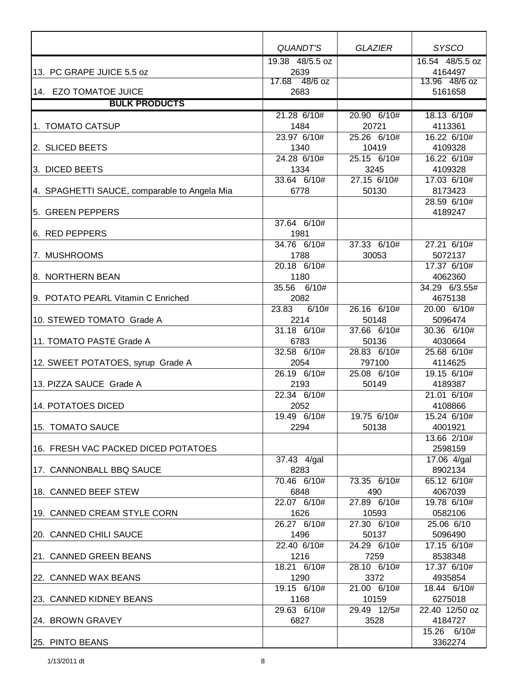|                                              | QUANDT'S        | <b>GLAZIER</b> | <b>SYSCO</b>    |
|----------------------------------------------|-----------------|----------------|-----------------|
|                                              | 19.38 48/5.5 oz |                | 16.54 48/5.5 oz |
| 13. PC GRAPE JUICE 5.5 oz                    | 2639            |                | 4164497         |
|                                              | 17.68 48/6 oz   |                | 13.96 48/6 oz   |
| 14. EZO TOMATOE JUICE                        | 2683            |                | 5161658         |
| <b>BULK PRODUCTS</b>                         |                 |                |                 |
|                                              | 21.28 6/10#     | 20.90 6/10#    | 18.13 6/10#     |
| 1. TOMATO CATSUP                             | 1484            | 20721          | 4113361         |
|                                              | 23.97 6/10#     | 25.26 6/10#    | 16.22 6/10#     |
| 2. SLICED BEETS                              | 1340            | 10419          | 4109328         |
|                                              | 24.28 6/10#     | 25.15 6/10#    | 16.22 6/10#     |
| 3. DICED BEETS                               | 1334            | 3245           | 4109328         |
|                                              | 33.64 6/10#     | 27.15 6/10#    | 17.03 6/10#     |
| 4. SPAGHETTI SAUCE, comparable to Angela Mia | 6778            | 50130          | 8173423         |
|                                              |                 |                | 28.59 6/10#     |
| 5. GREEN PEPPERS                             |                 |                | 4189247         |
|                                              | 37.64 6/10#     |                |                 |
| 6. RED PEPPERS                               | 1981            |                |                 |
|                                              | 34.76 6/10#     | 37.33 6/10#    | 27.21 6/10#     |
| 7. MUSHROOMS                                 | 1788            | 30053          | 5072137         |
|                                              | 20.18 6/10#     |                | 17.37 6/10#     |
| 8. NORTHERN BEAN                             | 1180            |                | 4062360         |
|                                              | 35.56 6/10#     |                | 34.29 6/3.55#   |
| 9. POTATO PEARL Vitamin C Enriched           | 2082            |                | 4675138         |
|                                              | 6/10#<br>23.83  | 26.16 6/10#    | 20.00 6/10#     |
| 10. STEWED TOMATO Grade A                    | 2214            | 50148          | 5096474         |
|                                              | 31.18 6/10#     | 37.66 6/10#    | 30.36 6/10#     |
| 11. TOMATO PASTE Grade A                     | 6783            | 50136          | 4030664         |
|                                              | 32.58 6/10#     | 28.83 6/10#    | 25.68 6/10#     |
| 12. SWEET POTATOES, syrup Grade A            | 2054            | 797100         | 4114625         |
|                                              | 26.19 6/10#     | 25.08 6/10#    | 19.15 6/10#     |
| 13. PIZZA SAUCE Grade A                      | 2193            | 50149          | 4189387         |
|                                              | 22.34 6/10#     |                | 21.01 6/10#     |
| 14. POTATOES DICED                           | 2052            |                | 4108866         |
|                                              | 19.49 6/10#     | 19.75 6/10#    | 15.24 6/10#     |
| 15. TOMATO SAUCE                             | 2294            | 50138          | 4001921         |
|                                              |                 |                | 13.66 2/10#     |
| 16. FRESH VAC PACKED DICED POTATOES          |                 |                | 2598159         |
|                                              | 37.43 4/gal     |                | 17.06 4/gal     |
| 17. CANNONBALL BBQ SAUCE                     | 8283            |                | 8902134         |
|                                              | 70.46 6/10#     | 73.35 6/10#    | 65.12 6/10#     |
| 18. CANNED BEEF STEW                         | 6848            | 490            | 4067039         |
|                                              | 22.07 6/10#     | 27.89 6/10#    | 19.78 6/10#     |
| 19. CANNED CREAM STYLE CORN                  | 1626            | 10593          | 0582106         |
|                                              | 26.27 6/10#     | 27.30 6/10#    | 25.06 6/10      |
| 20. CANNED CHILI SAUCE                       | 1496            | 50137          | 5096490         |
|                                              | 22.40 6/10#     | 24.29 6/10#    | 17.15 6/10#     |
| 21. CANNED GREEN BEANS                       | 1216            | 7259           | 8538348         |
|                                              | 18.21 6/10#     | 28.10 6/10#    | 17.37 6/10#     |
| 22. CANNED WAX BEANS                         | 1290            | 3372           | 4935854         |
|                                              | 19.15 6/10#     | 21.00 6/10#    | 18.44 6/10#     |
| 23. CANNED KIDNEY BEANS                      | 1168            | 10159          | 6275018         |
|                                              | 29.63 6/10#     | 29.49 12/5#    | 22.40 12/50 oz  |
| 24. BROWN GRAVEY                             | 6827            | 3528           | 4184727         |
|                                              |                 |                | 15.26 6/10#     |
| 25. PINTO BEANS                              |                 |                | 3362274         |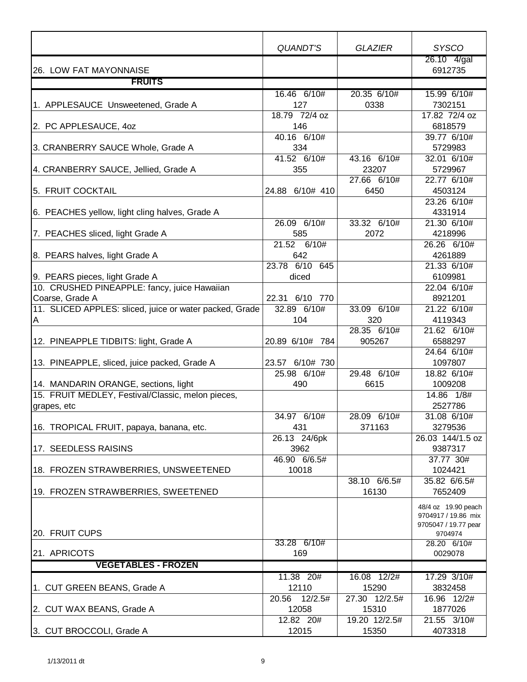|                                                         | QUANDT'S                 | <b>GLAZIER</b>           | <b>SYSCO</b>           |
|---------------------------------------------------------|--------------------------|--------------------------|------------------------|
|                                                         |                          |                          | 26.10 4/gal            |
| 26. LOW FAT MAYONNAISE                                  |                          |                          | 6912735                |
| <b>FRUITS</b>                                           |                          |                          |                        |
|                                                         | 16.46 6/10#              | 20.35 6/10#              | 15.99 6/10#            |
| 1. APPLESAUCE Unsweetened, Grade A                      | 127                      | 0338                     | 7302151                |
|                                                         | 18.79 72/4 oz            |                          | 17.82 72/4 oz          |
| 2. PC APPLESAUCE, 40Z                                   | 146                      |                          | 6818579                |
|                                                         | 40.16 6/10#              |                          | 39.77 6/10#            |
| 3. CRANBERRY SAUCE Whole, Grade A                       | 334<br>41.52 6/10#       | 43.16 6/10#              | 5729983<br>32.01 6/10# |
|                                                         | 355                      | 23207                    | 5729967                |
| 4. CRANBERRY SAUCE, Jellied, Grade A                    |                          | 27.66 6/10#              | 22.77 6/10#            |
| 5. FRUIT COCKTAIL                                       | 24.88 6/10# 410          | 6450                     | 4503124                |
|                                                         |                          |                          | 23.26 6/10#            |
| 6. PEACHES yellow, light cling halves, Grade A          |                          |                          | 4331914                |
|                                                         | 26.09 6/10#              | 33.32 6/10#              | 21.30 6/10#            |
| 7. PEACHES sliced, light Grade A                        | 585                      | 2072                     | 4218996                |
|                                                         | 21.52 6/10#              |                          | 26.26 6/10#            |
| 8. PEARS halves, light Grade A                          | 642                      |                          | 4261889                |
|                                                         | 23.78 6/10 645           |                          | 21.33 6/10#            |
| 9. PEARS pieces, light Grade A                          | diced                    |                          | 6109981                |
| 10. CRUSHED PINEAPPLE: fancy, juice Hawaiian            |                          |                          | 22.04 6/10#            |
| Coarse, Grade A                                         | 22.31<br>6/10 770        |                          | 8921201                |
| 11. SLICED APPLES: sliced, juice or water packed, Grade | $\overline{32.89}$ 6/10# | 33.09 6/10#              | 21.22 6/10#            |
| A                                                       | 104                      | 320                      | 4119343                |
|                                                         |                          | $28.35$ 6/10#            | 21.62 6/10#            |
| 12. PINEAPPLE TIDBITS: light, Grade A                   | 20.89 6/10# 784          | 905267                   | 6588297                |
|                                                         |                          |                          | 24.64 6/10#            |
| 13. PINEAPPLE, sliced, juice packed, Grade A            | 23.57 6/10# 730          |                          | 1097807                |
|                                                         | 25.98 6/10#              | 29.48 6/10#              | 18.82 6/10#            |
| 14. MANDARIN ORANGE, sections, light                    | 490                      | 6615                     | 1009208                |
| 15. FRUIT MEDLEY, Festival/Classic, melon pieces,       |                          |                          | 14.86 1/8#             |
| grapes, etc                                             |                          |                          | 2527786                |
|                                                         | 34.97 6/10#              | $\overline{28.09}$ 6/10# | 31.08 6/10#            |
| 16. TROPICAL FRUIT, papaya, banana, etc.                | 431                      | 371163                   | 3279536                |
|                                                         | 26.13 24/6pk             |                          | 26.03 144/1.5 oz       |
| 17. SEEDLESS RAISINS                                    | 3962                     |                          | 9387317                |
|                                                         | 46.90 6/6.5#             |                          | 37.77 30#              |
| 18. FROZEN STRAWBERRIES, UNSWEETENED                    | 10018                    |                          | 1024421                |
|                                                         |                          | 38.10 6/6.5#             | 35.82 6/6.5#           |
| 19. FROZEN STRAWBERRIES, SWEETENED                      |                          | 16130                    | 7652409                |
|                                                         |                          |                          | 48/4 oz 19.90 peach    |
|                                                         |                          |                          | 9704917 / 19.86 mix    |
| 20. FRUIT CUPS                                          |                          |                          | 9705047 / 19.77 pear   |
|                                                         | 33.28 6/10#              |                          | 9704974<br>28.20 6/10# |
| 21. APRICOTS                                            | 169                      |                          | 0029078                |
| <b>VEGETABLES - FROZEN</b>                              |                          |                          |                        |
|                                                         | 11.38 20#                | 16.08 12/2#              | 17.29 3/10#            |
| 1. CUT GREEN BEANS, Grade A                             | 12110                    | 15290                    | 3832458                |
|                                                         | 20.56 12/2.5#            | 27.30 12/2.5#            | $16.96$ 12/2#          |
| 2. CUT WAX BEANS, Grade A                               | 12058                    | 15310                    | 1877026                |
|                                                         | 12.82 20#                | 19.20 12/2.5#            | 21.55 3/10#            |
| 3. CUT BROCCOLI, Grade A                                | 12015                    | 15350                    | 4073318                |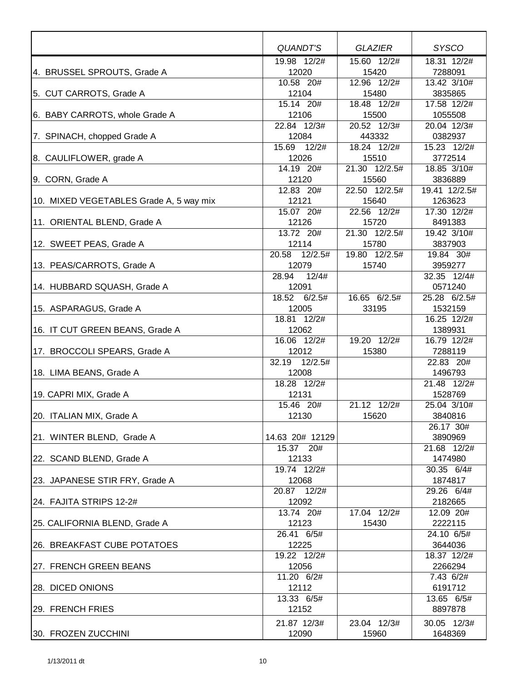|                                         | QUANDT'S             | <b>GLAZIER</b>           | <b>SYSCO</b>             |
|-----------------------------------------|----------------------|--------------------------|--------------------------|
| 4. BRUSSEL SPROUTS, Grade A             | 19.98 12/2#<br>12020 | $15.60$ $12/2#$<br>15420 | 18.31 12/2#<br>7288091   |
|                                         | 10.58 20#            | 12.96 12/2#              | 13.42 3/10#              |
| 5. CUT CARROTS, Grade A                 | 12104                | 15480                    | 3835865                  |
|                                         | 15.14 20#            | 18.48 12/2#              | 17.58 12/2#              |
| 6. BABY CARROTS, whole Grade A          | 12106                | 15500                    | 1055508                  |
|                                         | 22.84 12/3#          | 20.52 12/3#              | 20.04 12/3#              |
| 7. SPINACH, chopped Grade A             | 12084                | 443332                   | 0382937                  |
|                                         | 15.69 12/2#          | 18.24 12/2#              | 15.23 12/2#              |
| 8. CAULIFLOWER, grade A                 | 12026                | 15510                    | 3772514                  |
|                                         | 14.19 20#            | 21.30 12/2.5#            | 18.85 3/10#              |
| 9. CORN, Grade A                        | 12120<br>12.83 20#   | 15560<br>22.50 12/2.5#   | 3836889<br>19.41 12/2.5# |
| 10. MIXED VEGETABLES Grade A, 5 way mix | 12121                | 15640                    | 1263623                  |
|                                         | 15.07 20#            | 22.56 12/2#              | 17.30 12/2#              |
| 11. ORIENTAL BLEND, Grade A             | 12126                | 15720                    | 8491383                  |
|                                         | 13.72 20#            | 21.30 12/2.5#            | 19.42 3/10#              |
| 12. SWEET PEAS, Grade A                 | 12114                | 15780                    | 3837903                  |
|                                         | 20.58 12/2.5#        | 19.80 12/2.5#            | 19.84 30#                |
| 13. PEAS/CARROTS, Grade A               | 12079                | 15740                    | 3959277                  |
|                                         | 12/4#<br>28.94       |                          | 32.35 12/4#              |
| 14. HUBBARD SQUASH, Grade A             | 12091                |                          | 0571240                  |
|                                         | 18.52 6/2.5#         | 16.65 6/2.5#             | 25.28 6/2.5#             |
| 15. ASPARAGUS, Grade A                  | 12005                | 33195                    | 1532159                  |
|                                         | 18.81 12/2#          |                          | 16.25 12/2#              |
| 16. IT CUT GREEN BEANS, Grade A         | 12062                |                          | 1389931                  |
|                                         | 16.06 12/2#          | 19.20 12/2#              | 16.79 12/2#              |
| 17. BROCCOLI SPEARS, Grade A            | 12012                | 15380                    | 7288119                  |
|                                         | 32.19<br>12/2.5#     |                          | 22.83 20#                |
| 18. LIMA BEANS, Grade A                 | 12008                |                          | 1496793                  |
|                                         | 18.28 12/2#          |                          | $\overline{21.48}$ 12/2# |
| 19. CAPRI MIX, Grade A                  | 12131                |                          | 1528769                  |
|                                         | 15.46 20#            | 21.12 12/2#              | 25.04 3/10#              |
| 20. ITALIAN MIX, Grade A                | 12130                | 15620                    | 3840816                  |
|                                         | 14.63 20# 12129      |                          | 26.17 30#                |
| 21. WINTER BLEND, Grade A               | 15.37 20#            |                          | 3890969<br>21.68 12/2#   |
| 22. SCAND BLEND, Grade A                | 12133                |                          | 1474980                  |
|                                         | 19.74 12/2#          |                          | 30.35 6/4#               |
| 23. JAPANESE STIR FRY, Grade A          | 12068                |                          | 1874817                  |
|                                         | 20.87 12/2#          |                          | 29.26 6/4#               |
| 24. FAJITA STRIPS 12-2#                 | 12092                |                          | 2182665                  |
|                                         | 13.74 20#            | 17.04 12/2#              | 12.09 20#                |
| 25. CALIFORNIA BLEND, Grade A           | 12123                | 15430                    | 2222115                  |
|                                         | 26.41 6/5#           |                          | 24.10 6/5#               |
| 26. BREAKFAST CUBE POTATOES             | 12225                |                          | 3644036                  |
|                                         | 19.22 12/2#          |                          | 18.37 12/2#              |
| 27. FRENCH GREEN BEANS                  | 12056                |                          | 2266294                  |
|                                         | 11.20 6/2#           |                          | 7.43 6/2#                |
| 28. DICED ONIONS                        | 12112                |                          | 6191712                  |
|                                         | 13.33 6/5#           |                          | 13.65 6/5#               |
| 29. FRENCH FRIES                        | 12152                |                          | 8897878                  |
|                                         | 21.87 12/3#          | 23.04 12/3#              | 30.05 12/3#              |
| 30. FROZEN ZUCCHINI                     | 12090                | 15960                    | 1648369                  |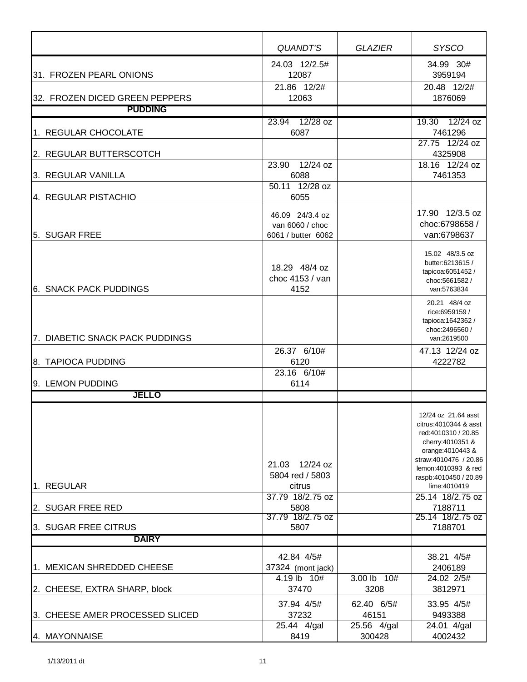|                                 | QUANDT'S                                                 | <b>GLAZIER</b>        | <b>SYSCO</b>                                                                                                                                                                             |
|---------------------------------|----------------------------------------------------------|-----------------------|------------------------------------------------------------------------------------------------------------------------------------------------------------------------------------------|
| 31. FROZEN PEARL ONIONS         | 24.03 12/2.5#<br>12087                                   |                       | 34.99 30#<br>3959194                                                                                                                                                                     |
| 32. FROZEN DICED GREEN PEPPERS  | 21.86 12/2#<br>12063                                     |                       | 20.48 12/2#<br>1876069                                                                                                                                                                   |
| <b>PUDDING</b>                  |                                                          |                       |                                                                                                                                                                                          |
| 1. REGULAR CHOCOLATE            | 23.94 12/28 oz<br>6087                                   |                       | 19.30 12/24 oz<br>7461296                                                                                                                                                                |
| 2. REGULAR BUTTERSCOTCH         |                                                          |                       | 27.75 12/24 oz<br>4325908                                                                                                                                                                |
| 3. REGULAR VANILLA              | 23.90 12/24 oz<br>6088                                   |                       | 18.16 12/24 oz<br>7461353                                                                                                                                                                |
| 4. REGULAR PISTACHIO            | 50.11 12/28 oz<br>6055                                   |                       |                                                                                                                                                                                          |
| 5. SUGAR FREE                   | 46.09 24/3.4 oz<br>van 6060 / choc<br>6061 / butter 6062 |                       | 17.90 12/3.5 oz<br>choc:6798658 /<br>van:6798637                                                                                                                                         |
| <b>6. SNACK PACK PUDDINGS</b>   | 18.29 48/4 oz<br>choc 4153 / van<br>4152                 |                       | 15.02 48/3.5 oz<br>butter:6213615 /<br>tapicoa:6051452 /<br>choc:5661582/<br>van:5763834                                                                                                 |
| 7. DIABETIC SNACK PACK PUDDINGS |                                                          |                       | 20.21 48/4 oz<br>rice:6959159 /<br>tapioca: 1642362 /<br>choc: 2496560 /<br>van:2619500                                                                                                  |
| 8. TAPIOCA PUDDING              | 26.37 6/10#<br>6120                                      |                       | 47.13 12/24 oz<br>4222782                                                                                                                                                                |
| 9. LEMON PUDDING                | 23.16 6/10#<br>6114                                      |                       |                                                                                                                                                                                          |
| <b>JELLO</b>                    |                                                          |                       |                                                                                                                                                                                          |
|                                 | 21.03 12/24 oz<br>5804 red / 5803                        |                       | 12/24 oz 21.64 asst<br>citrus: 4010344 & asst<br>red:4010310 / 20.85<br>cherry: 4010351 &<br>orange: 4010443 &<br>straw:4010476 / 20.86<br>lemon: 4010393 & red<br>raspb:4010450 / 20.89 |
| 1. REGULAR                      | citrus<br>37.79 18/2.75 oz                               |                       | lime:4010419<br>25.14 18/2.75 oz                                                                                                                                                         |
| 2. SUGAR FREE RED               | 5808<br>37.79 18/2.75 oz                                 |                       | 7188711<br>25.14 18/2.75 oz                                                                                                                                                              |
| 3. SUGAR FREE CITRUS            | 5807                                                     |                       | 7188701                                                                                                                                                                                  |
| <b>DAIRY</b>                    |                                                          |                       |                                                                                                                                                                                          |
| 1. MEXICAN SHREDDED CHEESE      | 42.84 4/5#<br>37324 (mont jack)                          |                       | 38.21 4/5#<br>2406189                                                                                                                                                                    |
| 2. CHEESE, EXTRA SHARP, block   | 4.19 lb 10#<br>37470                                     | 3.00 lb 10#<br>3208   | 24.02 2/5#<br>3812971                                                                                                                                                                    |
| 3. CHEESE AMER PROCESSED SLICED | 37.94 4/5#<br>37232                                      | 62.40 6/5#<br>46151   | 33.95 4/5#<br>9493388                                                                                                                                                                    |
| 4. MAYONNAISE                   | 25.44 4/gal<br>8419                                      | 25.56 4/gal<br>300428 | 24.01 4/gal<br>4002432                                                                                                                                                                   |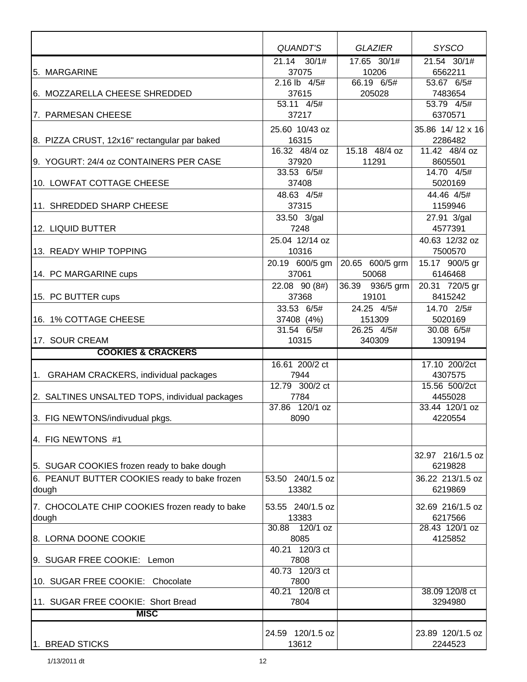|                                                 | QUANDT'S                  | <b>GLAZIER</b>       | <b>SYSCO</b>                |
|-------------------------------------------------|---------------------------|----------------------|-----------------------------|
| 5. MARGARINE                                    | $21.14$ $30/1#$<br>37075  | 17.65 30/1#<br>10206 | 21.54 30/1#<br>6562211      |
|                                                 | 2.16 lb 4/5#              | 66.19 6/5#           | 53.67 6/5#                  |
| 6. MOZZARELLA CHEESE SHREDDED                   | 37615                     | 205028               | 7483654                     |
|                                                 | 53.11 4/5#                |                      | 53.79 4/5#                  |
| 7. PARMESAN CHEESE                              | 37217                     |                      | 6370571                     |
|                                                 | 25.60 10/43 oz            |                      | 35.86 14/12 x 16            |
| 8. PIZZA CRUST, 12x16" rectangular par baked    | 16315                     |                      | 2286482                     |
|                                                 | 16.32 48/4 oz             | 15.18 48/4 oz        | 11.42 48/4 oz               |
| 9. YOGURT: 24/4 oz CONTAINERS PER CASE          | 37920                     | 11291                | 8605501                     |
|                                                 | 33.53 6/5#                |                      | 14.70 4/5#                  |
| 10. LOWFAT COTTAGE CHEESE                       | 37408                     |                      | 5020169                     |
| 11. SHREDDED SHARP CHEESE                       | 48.63 4/5#<br>37315       |                      | 44.46 4/5#<br>1159946       |
|                                                 |                           |                      | 27.91 3/gal                 |
| 12. LIQUID BUTTER                               | 33.50 3/gal<br>7248       |                      | 4577391                     |
|                                                 | 25.04 12/14 oz            |                      | 40.63 12/32 oz              |
| 13. READY WHIP TOPPING                          | 10316                     |                      | 7500570                     |
|                                                 | 20.19 600/5 gm            | 20.65 600/5 grm      | 15.17 900/5 gr              |
| 14. PC MARGARINE cups                           | 37061                     | 50068                | 6146468                     |
|                                                 | 22.08 90 (8#)             | 36.39 936/5 grm      | 20.31 720/5 gr              |
| 15. PC BUTTER cups                              | 37368                     | 19101                | 8415242                     |
|                                                 | 33.53 6/5#                | 24.25 4/5#           | 14.70 2/5#                  |
| 16. 1% COTTAGE CHEESE                           | 37408 (4%)                | 151309               | 5020169                     |
|                                                 | 31.54 6/5#                | 26.25 4/5#           | 30.08 6/5#                  |
| 17. SOUR CREAM<br><b>COOKIES &amp; CRACKERS</b> | 10315                     | 340309               | 1309194                     |
|                                                 | 16.61 200/2 ct            |                      | 17.10 200/2ct               |
| 1. GRAHAM CRACKERS, individual packages         | 7944                      |                      | 4307575                     |
|                                                 | 12.79 300/2 ct            |                      | 15.56 500/2ct               |
| 2. SALTINES UNSALTED TOPS, individual packages  | 7784                      |                      | 4455028                     |
|                                                 | 37.86 120/1 oz            |                      | 33.44 120/1 oz              |
| 3. FIG NEWTONS/indivudual pkgs.                 | 8090                      |                      | 4220554                     |
|                                                 |                           |                      |                             |
| 4. FIG NEWTONS #1                               |                           |                      |                             |
|                                                 |                           |                      | 32.97 216/1.5 oz            |
| 5. SUGAR COOKIES frozen ready to bake dough     |                           |                      | 6219828                     |
| 6. PEANUT BUTTER COOKIES ready to bake frozen   | 53.50 240/1.5 oz          |                      | 36.22 213/1.5 oz            |
| dough                                           | 13382                     |                      | 6219869                     |
| 7. CHOCOLATE CHIP COOKIES frozen ready to bake  | 53.55 240/1.5 oz          |                      | 32.69 216/1.5 oz            |
| dough                                           | 13383                     |                      | 6217566                     |
|                                                 | $120/1$ oz<br>30.88       |                      | 28.43 120/1 oz              |
| 8. LORNA DOONE COOKIE                           | 8085                      |                      | 4125852                     |
|                                                 | 40.21 120/3 ct            |                      |                             |
| 9. SUGAR FREE COOKIE: Lemon                     | 7808                      |                      |                             |
| 10. SUGAR FREE COOKIE: Chocolate                | 40.73 120/3 ct<br>7800    |                      |                             |
|                                                 | 40.21 120/8 ct            |                      | 38.09 120/8 ct              |
| 11. SUGAR FREE COOKIE: Short Bread              | 7804                      |                      | 3294980                     |
| <b>MISC</b>                                     |                           |                      |                             |
|                                                 |                           |                      |                             |
| 1. BREAD STICKS                                 | 24.59 120/1.5 oz<br>13612 |                      | 23.89 120/1.5 oz<br>2244523 |
|                                                 |                           |                      |                             |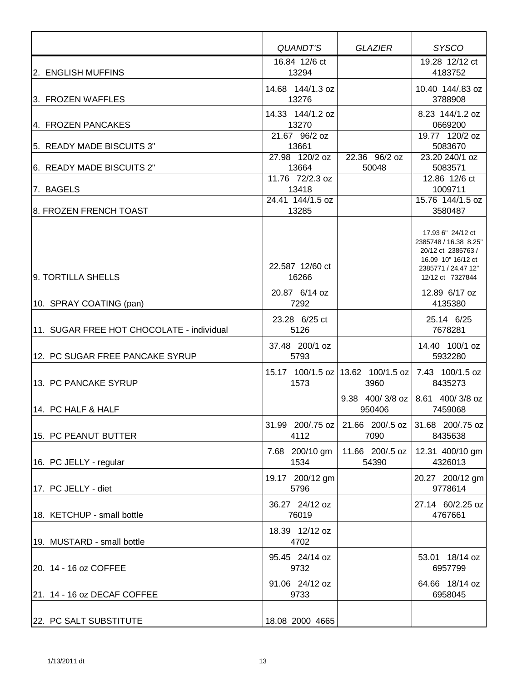|                                           | <b>QUANDT'S</b>           | <b>GLAZIER</b>                              | <b>SYSCO</b>                                                                                                                      |
|-------------------------------------------|---------------------------|---------------------------------------------|-----------------------------------------------------------------------------------------------------------------------------------|
|                                           | 16.84 12/6 ct             |                                             | 19.28 12/12 ct                                                                                                                    |
| 2. ENGLISH MUFFINS                        | 13294                     |                                             | 4183752                                                                                                                           |
| 13. FROZEN WAFFLES                        | 14.68 144/1.3 oz<br>13276 |                                             | 10.40 144/.83 oz<br>3788908                                                                                                       |
| 4. FROZEN PANCAKES                        | 14.33 144/1.2 oz<br>13270 |                                             | 8.23 144/1.2 oz<br>0669200                                                                                                        |
| 15.  READY MADE BISCUITS 3"               | 21.67 96/2 oz<br>13661    |                                             | 19.77 120/2 oz<br>5083670                                                                                                         |
| 6. READY MADE BISCUITS 2"                 | 27.98 120/2 oz<br>13664   | 22.36 96/2 oz<br>50048                      | 23.20 240/1 oz<br>5083571                                                                                                         |
| 7. BAGELS                                 | 11.76 72/2.3 oz<br>13418  |                                             | 12.86 12/6 ct<br>1009711                                                                                                          |
| 18. FROZEN FRENCH TOAST                   | 24.41 144/1.5 oz<br>13285 |                                             | 15.76 144/1.5 oz<br>3580487                                                                                                       |
| 9. TORTILLA SHELLS                        | 22.587 12/60 ct<br>16266  |                                             | 17.93 6" 24/12 ct<br>2385748 / 16.38 8.25"<br>20/12 ct 2385763 /<br>16.09 10" 16/12 ct<br>2385771 / 24.47 12"<br>12/12 ct 7327844 |
| 10. SPRAY COATING (pan)                   | 20.87 6/14 oz<br>7292     |                                             | 12.89 6/17 oz<br>4135380                                                                                                          |
| 11. SUGAR FREE HOT CHOCOLATE - individual | 23.28 6/25 ct<br>5126     |                                             | 25.14 6/25<br>7678281                                                                                                             |
| 12. PC SUGAR FREE PANCAKE SYRUP           | 37.48 200/1 oz<br>5793    |                                             | 14.40 100/1 oz<br>5932280                                                                                                         |
| 13. PC PANCAKE SYRUP                      | 1573                      | 15.17 100/1.5 oz   13.62 100/1.5 oz<br>3960 | 7.43 100/1.5 oz<br>8435273                                                                                                        |
| 14. PC HALF & HALF                        |                           | 9.38 400/3/8 oz<br>950406                   | 8.61 400/3/8 oz<br>7459068                                                                                                        |
| 15. PC PEANUT BUTTER                      | 31.99 200/75 oz<br>4112   | 21.66 200/.5 oz<br>7090                     | 31.68 200/75 oz<br>8435638                                                                                                        |
| 16. PC JELLY - regular                    | 7.68 200/10 gm<br>1534    | 11.66 200/.5 oz<br>54390                    | 12.31 400/10 gm<br>4326013                                                                                                        |
| 17. PC JELLY - diet                       | 19.17 200/12 gm<br>5796   |                                             | 20.27 200/12 gm<br>9778614                                                                                                        |
| 18. KETCHUP - small bottle                | 36.27 24/12 oz<br>76019   |                                             | 27.14 60/2.25 oz<br>4767661                                                                                                       |
| 19. MUSTARD - small bottle                | 18.39 12/12 oz<br>4702    |                                             |                                                                                                                                   |
| 20. 14 - 16 oz COFFEE                     | 95.45 24/14 oz<br>9732    |                                             | 53.01 18/14 oz<br>6957799                                                                                                         |
| 21. 14 - 16 oz DECAF COFFEE               | 91.06 24/12 oz<br>9733    |                                             | 64.66 18/14 oz<br>6958045                                                                                                         |
| 22. PC SALT SUBSTITUTE                    | 18.08 2000 4665           |                                             |                                                                                                                                   |